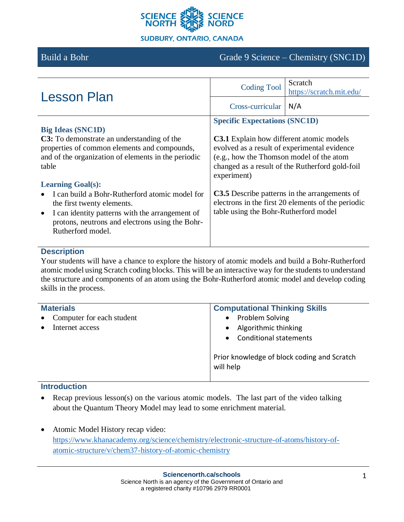

# Build a Bohr Grade 9 Science – Chemistry (SNC1D)

| <b>Lesson Plan</b>                                                                                                                                                                                                                                                                                                                                                                                                            | <b>Coding Tool</b><br>Cross-curricular                                                                                                                                                                                                      | Scratch<br>https://scratch.mit.edu/<br>N/A                                                                                                             |
|-------------------------------------------------------------------------------------------------------------------------------------------------------------------------------------------------------------------------------------------------------------------------------------------------------------------------------------------------------------------------------------------------------------------------------|---------------------------------------------------------------------------------------------------------------------------------------------------------------------------------------------------------------------------------------------|--------------------------------------------------------------------------------------------------------------------------------------------------------|
| <b>Big Ideas (SNC1D)</b><br>C3: To demonstrate an understanding of the<br>properties of common elements and compounds,<br>and of the organization of elements in the periodic<br>table<br><b>Learning Goal(s):</b><br>I can build a Bohr-Rutherford atomic model for<br>the first twenty elements.<br>I can identity patterns with the arrangement of<br>protons, neutrons and electrons using the Bohr-<br>Rutherford model. | <b>Specific Expectations (SNC1D)</b><br><b>C3.1</b> Explain how different atomic models<br>evolved as a result of experimental evidence<br>(e.g., how the Thomson model of the atom<br>experiment)<br>table using the Bohr-Rutherford model | changed as a result of the Rutherford gold-foil<br>C3.5 Describe patterns in the arrangements of<br>electrons in the first 20 elements of the periodic |

#### **Description**

Your students will have a chance to explore the history of atomic models and build a Bohr-Rutherford atomic model using Scratch coding blocks. This will be an interactive way for the students to understand the structure and components of an atom using the Bohr-Rutherford atomic model and develop coding skills in the process.

| <b>Materials</b><br>Computer for each student<br>$\bullet$<br>Internet access | <b>Computational Thinking Skills</b><br>Problem Solving<br>$\bullet$<br>Algorithmic thinking<br>$\bullet$<br><b>Conditional statements</b><br>$\bullet$ |  |
|-------------------------------------------------------------------------------|---------------------------------------------------------------------------------------------------------------------------------------------------------|--|
|                                                                               | Prior knowledge of block coding and Scratch<br>will help                                                                                                |  |

## **Introduction**

- Recap previous lesson(s) on the various atomic models. The last part of the video talking about the Quantum Theory Model may lead to some enrichment material.
- Atomic Model History recap video: [https://www.khanacademy.org/science/chemistry/electronic-structure-of-atoms/history-of](https://www.khanacademy.org/science/chemistry/electronic-structure-of-atoms/history-of-atomic-structure/v/chem37-history-of-atomic-chemistry)[atomic-structure/v/chem37-history-of-atomic-chemistry](https://www.khanacademy.org/science/chemistry/electronic-structure-of-atoms/history-of-atomic-structure/v/chem37-history-of-atomic-chemistry)